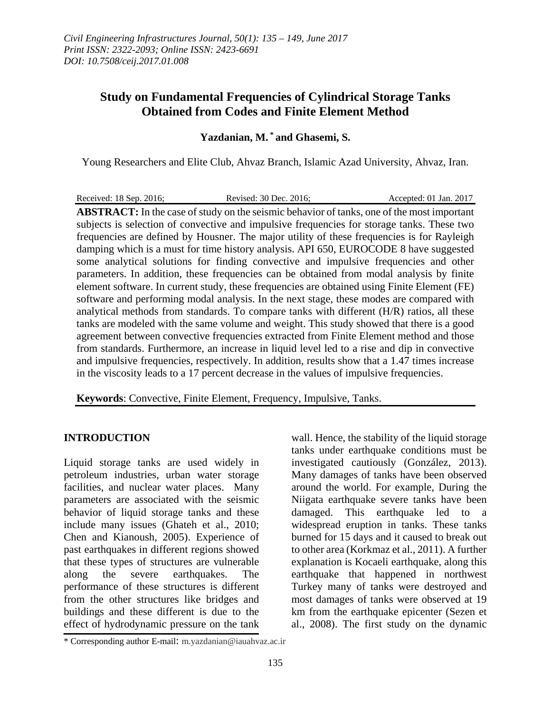# **Study on Fundamental Frequencies of Cylindrical Storage Tanks Obtained from Codes and Finite Element Method**

## **Yazdanian, M. \* and Ghasemi, S.**

Young Researchers and Elite Club, Ahvaz Branch, Islamic Azad University, Ahvaz, Iran.

Received: 18 Sep. 2016; Revised: 30 Dec. 2016; Accepted: 01 Jan. 2017 **ABSTRACT:** In the case of study on the seismic behavior of tanks, one of the most important subjects is selection of convective and impulsive frequencies for storage tanks. These two frequencies are defined by Housner. The major utility of these frequencies is for Rayleigh damping which is a must for time history analysis. API 650, EUROCODE 8 have suggested some analytical solutions for finding convective and impulsive frequencies and other parameters. In addition, these frequencies can be obtained from modal analysis by finite element software. In current study, these frequencies are obtained using Finite Element (FE) software and performing modal analysis. In the next stage, these modes are compared with analytical methods from standards. To compare tanks with different (H/R) ratios, all these tanks are modeled with the same volume and weight. This study showed that there is a good agreement between convective frequencies extracted from Finite Element method and those from standards. Furthermore, an increase in liquid level led to a rise and dip in convective and impulsive frequencies, respectively. In addition, results show that a 1.47 times increase in the viscosity leads to a 17 percent decrease in the values of impulsive frequencies.

**Keywords**: Convective, Finite Element, Frequency, Impulsive, Tanks.

### **INTRODUCTION**

Liquid storage tanks are used widely in petroleum industries, urban water storage facilities, and nuclear water places. Many parameters are associated with the seismic behavior of liquid storage tanks and these include many issues (Ghateh et al., 2010; Chen and Kianoush, 2005). Experience of past earthquakes in different regions showed that these types of structures are vulnerable along the severe earthquakes. The performance of these structures is different from the other structures like bridges and buildings and these different is due to the effect of hydrodynamic pressure on the tank

wall. Hence, the stability of the liquid storage tanks under earthquake conditions must be investigated cautiously (González, 2013). Many damages of tanks have been observed around the world. For example, During the Niigata earthquake severe tanks have been damaged. This earthquake led to a widespread eruption in tanks. These tanks burned for 15 days and it caused to break out to other area (Korkmaz et al., 2011). A further explanation is Kocaeli earthquake, along this earthquake that happened in northwest Turkey many of tanks were destroyed and most damages of tanks were observed at 19 km from the earthquake epicenter (Sezen et al., 2008). The first study on the dynamic

<sup>\*</sup> Corresponding author E-mail: m.yazdanian@iauahvaz.ac.ir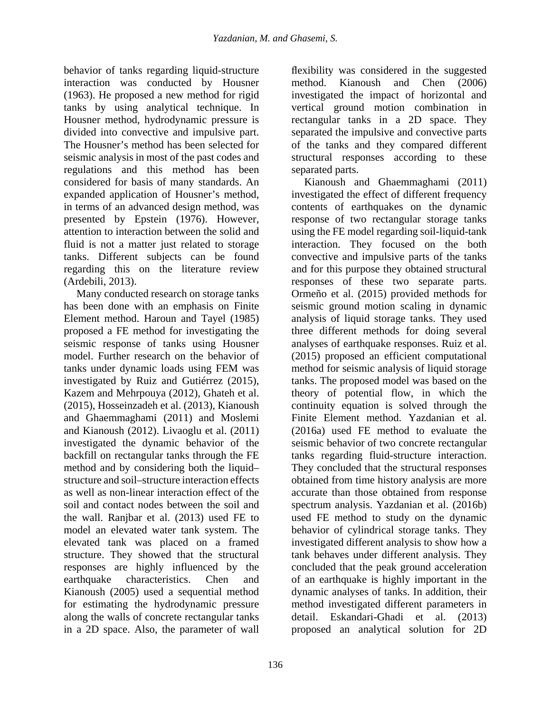behavior of tanks regarding liquid-structure interaction was conducted by Housner (1963). He proposed a new method for rigid tanks by using analytical technique. In Housner method, hydrodynamic pressure is divided into convective and impulsive part. The Housner's method has been selected for seismic analysis in most of the past codes and regulations and this method has been considered for basis of many standards. An expanded application of Housner's method, in terms of an advanced design method, was presented by Epstein (1976). However, attention to interaction between the solid and fluid is not a matter just related to storage tanks. Different subjects can be found regarding this on the literature review (Ardebili, 2013).

Many conducted research on storage tanks has been done with an emphasis on Finite Element method. Haroun and Tayel (1985) proposed a FE method for investigating the seismic response of tanks using Housner model. Further research on the behavior of tanks under dynamic loads using FEM was investigated by Ruiz and Gutiérrez (2015), Kazem and Mehrpouya (2012), Ghateh et al. (2015), Hosseinzadeh et al. (2013), Kianoush and Ghaemmaghami (2011) and Moslemi and Kianoush (2012). Livaoglu et al. (2011) investigated the dynamic behavior of the backfill on rectangular tanks through the FE method and by considering both the liquid– structure and soil–structure interaction effects as well as non-linear interaction effect of the soil and contact nodes between the soil and the wall. Ranjbar et al. (2013) used FE to model an elevated water tank system. The elevated tank was placed on a framed structure. They showed that the structural responses are highly influenced by the earthquake characteristics. Chen and Kianoush (2005) used a sequential method for estimating the hydrodynamic pressure along the walls of concrete rectangular tanks in a 2D space. Also, the parameter of wall

flexibility was considered in the suggested method. Kianoush and Chen (2006) investigated the impact of horizontal and vertical ground motion combination in rectangular tanks in a 2D space. They separated the impulsive and convective parts of the tanks and they compared different structural responses according to these separated parts.

Kianoush and Ghaemmaghami (2011) investigated the effect of different frequency contents of earthquakes on the dynamic response of two rectangular storage tanks using the FE model regarding soil-liquid-tank interaction. They focused on the both convective and impulsive parts of the tanks and for this purpose they obtained structural responses of these two separate parts. Ormeño et al. (2015) provided methods for seismic ground motion scaling in dynamic analysis of liquid storage tanks. They used three different methods for doing several analyses of earthquake responses. Ruiz et al. (2015) proposed an efficient computational method for seismic analysis of liquid storage tanks. The proposed model was based on the theory of potential flow, in which the continuity equation is solved through the Finite Element method. Yazdanian et al. (2016a) used FE method to evaluate the seismic behavior of two concrete rectangular tanks regarding fluid-structure interaction. They concluded that the structural responses obtained from time history analysis are more accurate than those obtained from response spectrum analysis. Yazdanian et al. (2016b) used FE method to study on the dynamic behavior of cylindrical storage tanks. They investigated different analysis to show how a tank behaves under different analysis. They concluded that the peak ground acceleration of an earthquake is highly important in the dynamic analyses of tanks. In addition, their method investigated different parameters in detail. Eskandari-Ghadi et al. (2013) proposed an analytical solution for 2D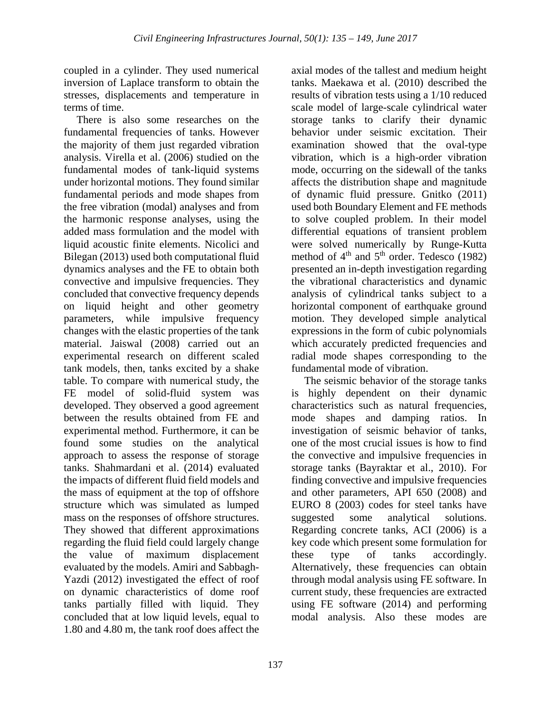coupled in a cylinder. They used numerical inversion of Laplace transform to obtain the stresses, displacements and temperature in terms of time.

There is also some researches on the fundamental frequencies of tanks. However the majority of them just regarded vibration analysis. Virella et al. (2006) studied on the fundamental modes of tank-liquid systems under horizontal motions. They found similar fundamental periods and mode shapes from the free vibration (modal) analyses and from the harmonic response analyses, using the added mass formulation and the model with liquid acoustic finite elements. Nicolici and Bilegan (2013) used both computational fluid dynamics analyses and the FE to obtain both convective and impulsive frequencies. They concluded that convective frequency depends on liquid height and other geometry parameters, while impulsive frequency changes with the elastic properties of the tank material. Jaiswal (2008) carried out an experimental research on different scaled tank models, then, tanks excited by a shake table. To compare with numerical study, the FE model of solid-fluid system was developed. They observed a good agreement between the results obtained from FE and experimental method. Furthermore, it can be found some studies on the analytical approach to assess the response of storage tanks. Shahmardani et al. (2014) evaluated the impacts of different fluid field models and the mass of equipment at the top of offshore structure which was simulated as lumped mass on the responses of offshore structures. They showed that different approximations regarding the fluid field could largely change the value of maximum displacement evaluated by the models. Amiri and Sabbagh-Yazdi (2012) investigated the effect of roof on dynamic characteristics of dome roof tanks partially filled with liquid. They concluded that at low liquid levels, equal to 1.80 and 4.80 m, the tank roof does affect the

axial modes of the tallest and medium height tanks. Maekawa et al. (2010) described the results of vibration tests using a 1/10 reduced scale model of large-scale cylindrical water storage tanks to clarify their dynamic behavior under seismic excitation. Their examination showed that the oval-type vibration, which is a high-order vibration mode, occurring on the sidewall of the tanks affects the distribution shape and magnitude of dynamic fluid pressure. Gnitko (2011) used both Boundary Element and FE methods to solve coupled problem. In their model differential equations of transient problem were solved numerically by Runge-Kutta method of  $4<sup>th</sup>$  and  $5<sup>th</sup>$  order. Tedesco (1982) presented an in-depth investigation regarding the vibrational characteristics and dynamic analysis of cylindrical tanks subject to a horizontal component of earthquake ground motion. They developed simple analytical expressions in the form of cubic polynomials which accurately predicted frequencies and radial mode shapes corresponding to the fundamental mode of vibration.

The seismic behavior of the storage tanks is highly dependent on their dynamic characteristics such as natural frequencies, mode shapes and damping ratios. In investigation of seismic behavior of tanks, one of the most crucial issues is how to find the convective and impulsive frequencies in storage tanks (Bayraktar et al., 2010). For finding convective and impulsive frequencies and other parameters, API 650 (2008) and EURO 8 (2003) codes for steel tanks have suggested some analytical solutions. Regarding concrete tanks, ACI (2006) is a key code which present some formulation for these type of tanks accordingly. Alternatively, these frequencies can obtain through modal analysis using FE software. In current study, these frequencies are extracted using FE software (2014) and performing modal analysis. Also these modes are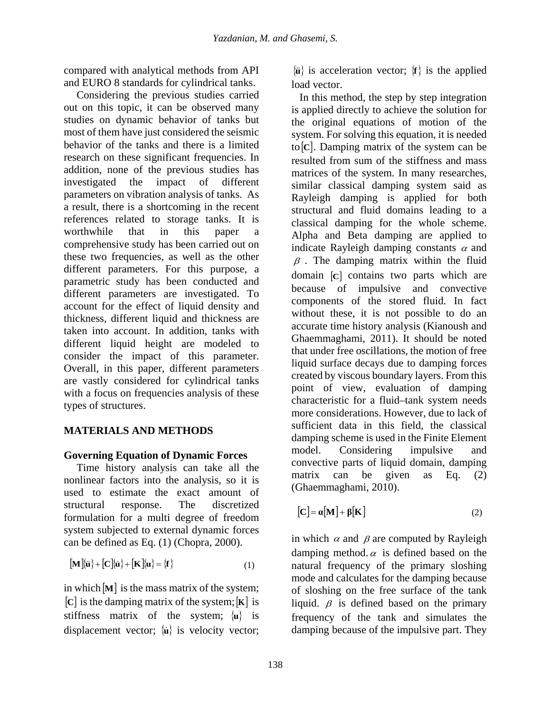compared with analytical methods from API and EURO 8 standards for cylindrical tanks.

Considering the previous studies carried out on this topic, it can be observed many studies on dynamic behavior of tanks but most of them have just considered the seismic behavior of the tanks and there is a limited research on these significant frequencies. In addition, none of the previous studies has investigated the impact of different parameters on vibration analysis of tanks. As a result, there is a shortcoming in the recent references related to storage tanks. It is worthwhile that in this paper a comprehensive study has been carried out on these two frequencies, as well as the other different parameters. For this purpose, a parametric study has been conducted and different parameters are investigated. To account for the effect of liquid density and thickness, different liquid and thickness are taken into account. In addition, tanks with different liquid height are modeled to consider the impact of this parameter. Overall, in this paper, different parameters are vastly considered for cylindrical tanks with a focus on frequencies analysis of these types of structures.

# **MATERIALS AND METHODS**

## **Governing Equation of Dynamic Forces**

Time history analysis can take all the nonlinear factors into the analysis, so it is used to estimate the exact amount of structural response. The discretized formulation for a multi degree of freedom system subjected to external dynamic forces can be defined as Eq. (1) (Chopra, 2000).

$$
[\mathbf{M}]\langle \mathbf{u}\rangle + [\mathbf{C}]\langle \mathbf{u}\rangle + [\mathbf{K}]\langle \mathbf{u}\rangle = \{\mathbf{f}\}\tag{1}
$$

in which  $[M]$  is the mass matrix of the system; [**C**] is the damping matrix of the system;[**K**] is stiffness matrix of the system; {**u**} is displacement vector; {**u**} is velocity vector;

 $\{\mathbf{u}\}\$ is acceleration vector;  $\{\mathbf{f}\}\$ is the applied load vector.

In this method, the step by step integration is applied directly to achieve the solution for the original equations of motion of the system. For solving this equation, it is needed to[**C**]. Damping matrix of the system can be resulted from sum of the stiffness and mass matrices of the system. In many researches, similar classical damping system said as Rayleigh damping is applied for both structural and fluid domains leading to a classical damping for the whole scheme. Alpha and Beta damping are applied to indicate Rayleigh damping constants  $\alpha$  and  $\beta$ . The damping matrix within the fluid domain [**C**] contains two parts which are because of impulsive and convective components of the stored fluid. In fact without these, it is not possible to do an accurate time history analysis (Kianoush and Ghaemmaghami, 2011). It should be noted that under free oscillations, the motion of free liquid surface decays due to damping forces created by viscous boundary layers. From this point of view, evaluation of damping characteristic for a fluid–tank system needs more considerations. However, due to lack of sufficient data in this field, the classical damping scheme is used in the Finite Element model. Considering impulsive and convective parts of liquid domain, damping matrix can be given as Eq. (2) (Ghaemmaghami, 2010).

$$
[\mathbf{C}] = \boldsymbol{\alpha}[\mathbf{M}] + \boldsymbol{\beta}[\mathbf{K}] \tag{2}
$$

in which  $\alpha$  and  $\beta$  are computed by Rayleigh damping method. $\alpha$  is defined based on the natural frequency of the primary sloshing mode and calculates for the damping because of sloshing on the free surface of the tank liquid.  $\beta$  is defined based on the primary frequency of the tank and simulates the damping because of the impulsive part. They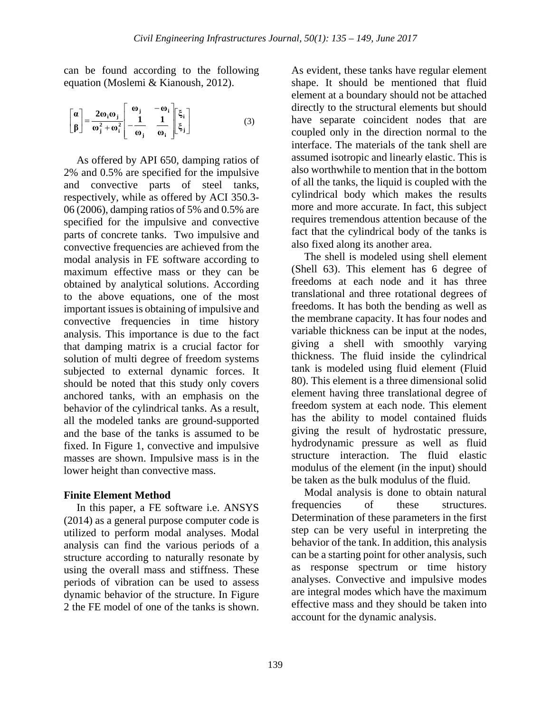can be found according to the following equation (Moslemi & Kianoush, 2012).

$$
\begin{bmatrix} \alpha \\ \beta \end{bmatrix} = \frac{2\omega_i \omega_j}{\omega_i^2 + \omega_i^2} \begin{bmatrix} \omega_j & -\omega_i \\ -\frac{1}{\omega_j} & \frac{1}{\omega_i} \\ \end{bmatrix} \begin{bmatrix} \xi_i \\ \xi_j \end{bmatrix}
$$
 (3)

As offered by API 650, damping ratios of 2% and 0.5% are specified for the impulsive and convective parts of steel tanks, respectively, while as offered by ACI 350.3- 06 (2006), damping ratios of 5% and 0.5% are specified for the impulsive and convective parts of concrete tanks. Two impulsive and convective frequencies are achieved from the modal analysis in FE software according to maximum effective mass or they can be obtained by analytical solutions. According to the above equations, one of the most important issues is obtaining of impulsive and convective frequencies in time history analysis. This importance is due to the fact that damping matrix is a crucial factor for solution of multi degree of freedom systems subjected to external dynamic forces. It should be noted that this study only covers anchored tanks, with an emphasis on the behavior of the cylindrical tanks. As a result, all the modeled tanks are ground-supported and the base of the tanks is assumed to be fixed. In Figure 1, convective and impulsive masses are shown. Impulsive mass is in the lower height than convective mass.

### **Finite Element Method**

In this paper, a FE software i.e. ANSYS (2014) as a general purpose computer code is utilized to perform modal analyses. Modal analysis can find the various periods of a structure according to naturally resonate by using the overall mass and stiffness. These periods of vibration can be used to assess dynamic behavior of the structure. In Figure 2 the FE model of one of the tanks is shown.

As evident, these tanks have regular element shape. It should be mentioned that fluid element at a boundary should not be attached directly to the structural elements but should have separate coincident nodes that are coupled only in the direction normal to the interface. The materials of the tank shell are assumed isotropic and linearly elastic. This is also worthwhile to mention that in the bottom of all the tanks, the liquid is coupled with the cylindrical body which makes the results more and more accurate. In fact, this subject requires tremendous attention because of the fact that the cylindrical body of the tanks is also fixed along its another area.

The shell is modeled using shell element (Shell 63). This element has 6 degree of freedoms at each node and it has three translational and three rotational degrees of freedoms. It has both the bending as well as the membrane capacity. It has four nodes and variable thickness can be input at the nodes, giving a shell with smoothly varying thickness. The fluid inside the cylindrical tank is modeled using fluid element (Fluid 80). This element is a three dimensional solid element having three translational degree of freedom system at each node. This element has the ability to model contained fluids giving the result of hydrostatic pressure, hydrodynamic pressure as well as fluid structure interaction. The fluid elastic modulus of the element (in the input) should be taken as the bulk modulus of the fluid.

Modal analysis is done to obtain natural frequencies of these structures. Determination of these parameters in the first step can be very useful in interpreting the behavior of the tank. In addition, this analysis can be a starting point for other analysis, such as response spectrum or time history analyses. Convective and impulsive modes are integral modes which have the maximum effective mass and they should be taken into account for the dynamic analysis.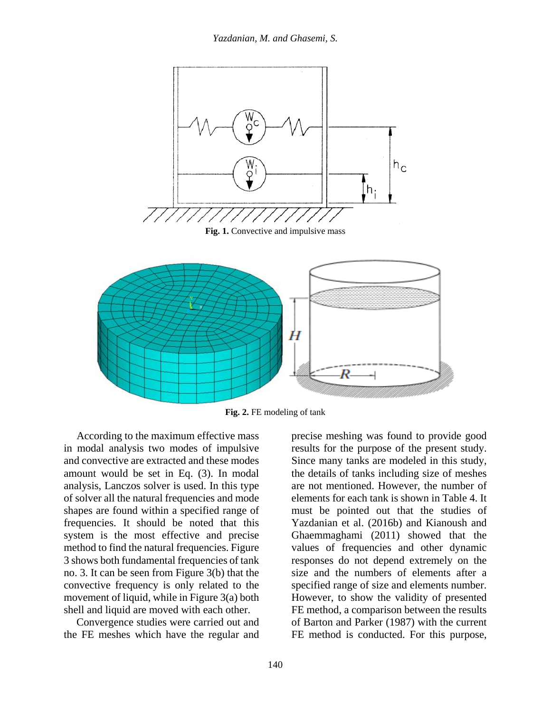

**Fig. 2.** FE modeling of tank

According to the maximum effective mass in modal analysis two modes of impulsive and convective are extracted and these modes amount would be set in Eq. (3). In modal analysis, Lanczos solver is used. In this type of solver all the natural frequencies and mode shapes are found within a specified range of frequencies. It should be noted that this system is the most effective and precise method to find the natural frequencies. Figure 3 shows both fundamental frequencies of tank no. 3. It can be seen from Figure 3(b) that the convective frequency is only related to the movement of liquid, while in Figure 3(a) both shell and liquid are moved with each other.

Convergence studies were carried out and the FE meshes which have the regular and

precise meshing was found to provide good results for the purpose of the present study. Since many tanks are modeled in this study, the details of tanks including size of meshes are not mentioned. However, the number of elements for each tank is shown in Table 4. It must be pointed out that the studies of Yazdanian et al. (2016b) and Kianoush and Ghaemmaghami (2011) showed that the values of frequencies and other dynamic responses do not depend extremely on the size and the numbers of elements after a specified range of size and elements number. However, to show the validity of presented FE method, a comparison between the results of Barton and Parker (1987) with the current FE method is conducted. For this purpose,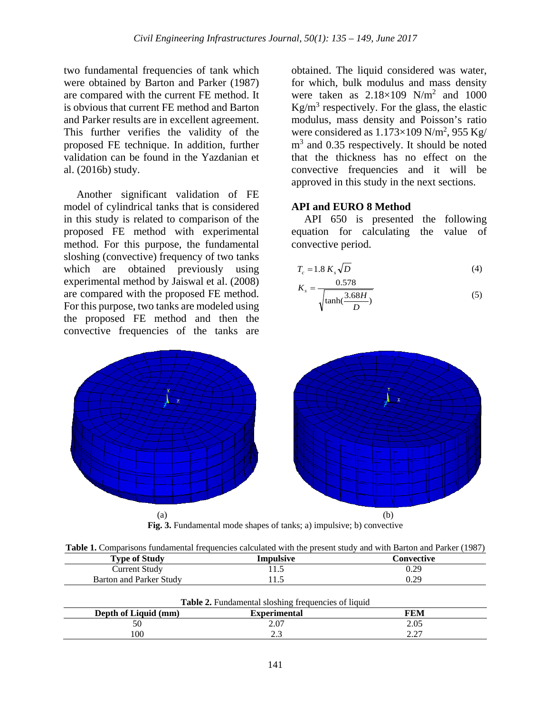two fundamental frequencies of tank which were obtained by Barton and Parker (1987) are compared with the current FE method. It is obvious that current FE method and Barton and Parker results are in excellent agreement. This further verifies the validity of the proposed FE technique. In addition, further validation can be found in the Yazdanian et al. (2016b) study.

Another significant validation of FE model of cylindrical tanks that is considered in this study is related to comparison of the proposed FE method with experimental method. For this purpose, the fundamental sloshing (convective) frequency of two tanks which are obtained previously using experimental method by Jaiswal et al. (2008) are compared with the proposed FE method. For this purpose, two tanks are modeled using the proposed FE method and then the convective frequencies of the tanks are

obtained. The liquid considered was water, for which, bulk modulus and mass density were taken as  $2.18 \times 109$  N/m<sup>2</sup> and 1000  $Kg/m<sup>3</sup>$  respectively. For the glass, the elastic modulus, mass density and Poisson's ratio were considered as  $1.173\times109$  N/m<sup>2</sup>, 955 Kg/  $m<sup>3</sup>$  and 0.35 respectively. It should be noted that the thickness has no effect on the convective frequencies and it will be approved in this study in the next sections.

#### **API and EURO 8 Method**

API 650 is presented the following equation for calculating the value of convective period.

$$
T_c = 1.8 \, K_s \sqrt{D} \tag{4}
$$

$$
K_s = \frac{0.578}{\sqrt{\tanh(\frac{3.68H}{D})}}
$$
(5)



| <b>Table 1.</b> Comparisons fundamental frequencies calculated with the present study and with Barton and Parker (1987) |                                                                  |  |  |  |  |  |
|-------------------------------------------------------------------------------------------------------------------------|------------------------------------------------------------------|--|--|--|--|--|
|                                                                                                                         | $\mathbf{m}$ $\mathbf{a}$ $\mathbf{a}$ $\mathbf{u}$ $\mathbf{u}$ |  |  |  |  |  |

| <b>Type of Study</b>    | Impulsive | Convective |
|-------------------------|-----------|------------|
| Current Study           | د. 1 '    | 0.29       |
| Barton and Parker Study | 1 I .J    | 0.29       |
|                         |           |            |

|                      | <b>Table 2.</b> Fundamental sloshing frequencies of liquid |          |
|----------------------|------------------------------------------------------------|----------|
| Depth of Liquid (mm) | <b>Experimental</b>                                        | FEM      |
|                      | 2.07                                                       | 2.05     |
| 100                  |                                                            | $\Delta$ |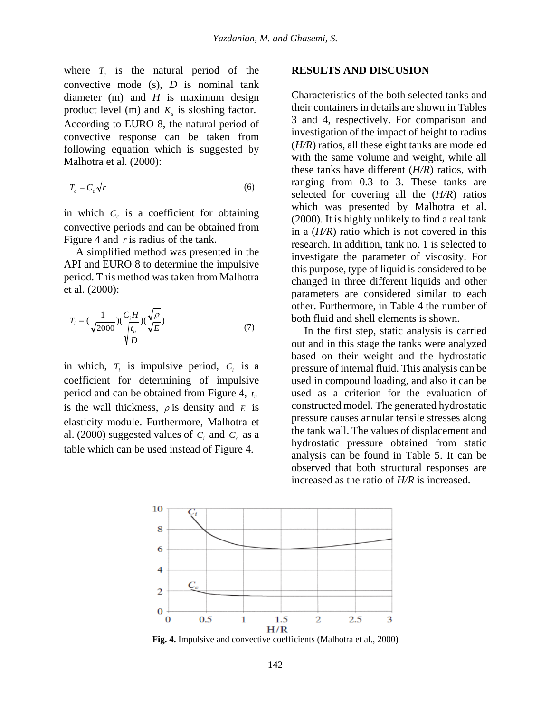where  $T_c$  is the natural period of the convective mode (s), *D* is nominal tank diameter (m) and *H* is maximum design product level (m) and  $K<sub>s</sub>$  is sloshing factor. According to EURO 8, the natural period of convective response can be taken from following equation which is suggested by Malhotra et al. (2000):

$$
T_c = C_c \sqrt{r} \tag{6}
$$

in which  $C_c$  is a coefficient for obtaining convective periods and can be obtained from Figure 4 and *r* is radius of the tank.

A simplified method was presented in the API and EURO 8 to determine the impulsive period. This method was taken from Malhotra et al. (2000):

$$
T_i = (\frac{1}{\sqrt{2000}})(\frac{C_i H}{\sqrt{\frac{t_u}{D}}})(\frac{\sqrt{\rho}}{\sqrt{E}})
$$
\n(7)

in which,  $T_i$  is impulsive period,  $C_i$  is a coefficient for determining of impulsive period and can be obtained from Figure 4,  $t_u$ is the wall thickness,  $\rho$  is density and  $E$  is elasticity module. Furthermore, Malhotra et al. (2000) suggested values of  $C_i$  and  $C_c$  as a table which can be used instead of Figure 4.

#### **RESULTS AND DISCUSION**

Characteristics of the both selected tanks and their containers in details are shown in Tables 3 and 4, respectively. For comparison and investigation of the impact of height to radius (*H/R*) ratios, all these eight tanks are modeled with the same volume and weight, while all these tanks have different (*H/R*) ratios, with ranging from 0.3 to 3. These tanks are selected for covering all the (*H/R*) ratios which was presented by Malhotra et al. (2000). It is highly unlikely to find a real tank in a (*H/R*) ratio which is not covered in this research. In addition, tank no. 1 is selected to investigate the parameter of viscosity. For this purpose, type of liquid is considered to be changed in three different liquids and other parameters are considered similar to each other. Furthermore, in Table 4 the number of both fluid and shell elements is shown.

In the first step, static analysis is carried out and in this stage the tanks were analyzed based on their weight and the hydrostatic pressure of internal fluid. This analysis can be used in compound loading, and also it can be used as a criterion for the evaluation of constructed model. The generated hydrostatic pressure causes annular tensile stresses along the tank wall. The values of displacement and hydrostatic pressure obtained from static analysis can be found in Table 5. It can be observed that both structural responses are increased as the ratio of *H/R* is increased.



**Fig. 4.** Impulsive and convective coefficients (Malhotra et al., 2000)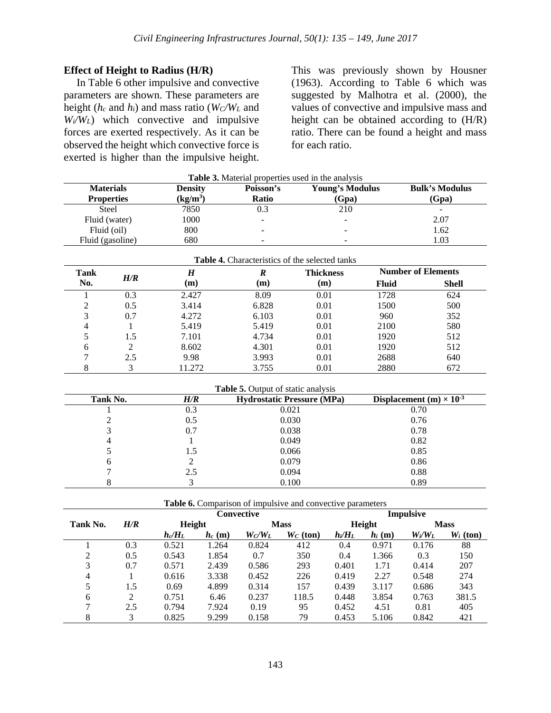### **Effect of Height to Radius (H/R)**

In Table 6 other impulsive and convective parameters are shown. These parameters are height (*hc* and *hi*) and mass ratio (*WC/WL* and *Wi/WL*) which convective and impulsive forces are exerted respectively. As it can be observed the height which convective force is exerted is higher than the impulsive height.

This was previously shown by Housner (1963). According to Table 6 which was suggested by Malhotra et al. (2000), the values of convective and impulsive mass and height can be obtained according to (H/R) ratio. There can be found a height and mass for each ratio.

| <b>Table 3.</b> Material properties used in the analysis |                |              |                        |                          |  |  |  |
|----------------------------------------------------------|----------------|--------------|------------------------|--------------------------|--|--|--|
| <b>Materials</b>                                         | <b>Density</b> | Poisson's    | <b>Young's Modulus</b> | <b>Bulk's Modulus</b>    |  |  |  |
| <b>Properties</b>                                        | $(kg/m^3)$     | <b>Ratio</b> | (Gpa)                  | (Gpa)                    |  |  |  |
| <b>Steel</b>                                             | 7850           | 0.3          | 210                    | $\overline{\phantom{a}}$ |  |  |  |
| Fluid (water)                                            | 1000           |              | -                      | 2.07                     |  |  |  |
| Fluid (oil)                                              | 800            |              | $\sim$                 | 1.62                     |  |  |  |
| Fluid (gasoline)                                         | 680            | -            | -                      | 1.03                     |  |  |  |

|               | <b>Table 4.</b> Characteristics of the selected tanks<br><b>Number of Elements</b><br><b>Thickness</b><br>H<br>Tank<br>R |        |       |      |              |              |  |  |  |  |  |
|---------------|--------------------------------------------------------------------------------------------------------------------------|--------|-------|------|--------------|--------------|--|--|--|--|--|
| No.           | H/R                                                                                                                      | (m)    | (m)   | (m)  | <b>Fluid</b> | <b>Shell</b> |  |  |  |  |  |
|               | 0.3                                                                                                                      | 2.427  | 8.09  | 0.01 | 1728         | 624          |  |  |  |  |  |
| $\mathcal{L}$ | 0.5                                                                                                                      | 3.414  | 6.828 | 0.01 | 1500         | 500          |  |  |  |  |  |
| 3             | 0.7                                                                                                                      | 4.272  | 6.103 | 0.01 | 960          | 352          |  |  |  |  |  |
|               |                                                                                                                          | 5.419  | 5.419 | 0.01 | 2100         | 580          |  |  |  |  |  |
|               | 1.5                                                                                                                      | 7.101  | 4.734 | 0.01 | 1920         | 512          |  |  |  |  |  |
| 6             |                                                                                                                          | 8.602  | 4.301 | 0.01 | 1920         | 512          |  |  |  |  |  |
|               | 2.5                                                                                                                      | 9.98   | 3.993 | 0.01 | 2688         | 640          |  |  |  |  |  |
| 8             |                                                                                                                          | 11.272 | 3.755 | 0.01 | 2880         | 672          |  |  |  |  |  |

**Table 5.** Output of static analysis

| Tank No. | H/R | <b>Hydrostatic Pressure (MPa)</b> | Displacement (m) $\times$ 10 <sup>-3</sup> |
|----------|-----|-----------------------------------|--------------------------------------------|
|          | 0.3 | 0.021                             | 0.70                                       |
|          | 0.5 | 0.030                             | 0.76                                       |
|          | 0.7 | 0.038                             | 0.78                                       |
|          |     | 0.049                             | 0.82                                       |
|          |     | 0.066                             | 0.85                                       |
| 6        |     | 0.079                             | 0.86                                       |
|          | 2.5 | 0.094                             | 0.88                                       |
|          |     | 0.100                             | 0.89                                       |

**Table 6.** Comparison of impulsive and convective parameters

|          |     |           |           | Convective |             | <b>Impulsive</b> |          |           |             |  |
|----------|-----|-----------|-----------|------------|-------------|------------------|----------|-----------|-------------|--|
| Tank No. | H/R | Height    |           |            | <b>Mass</b> |                  | Height   |           | <b>Mass</b> |  |
|          |     | $h_c/H_L$ | $h_c$ (m) | $W_C/W_L$  | $W_C$ (ton) | $h_i/H_L$        | $h_i(m)$ | $W_i/W_L$ | $W_i$ (ton) |  |
|          | 0.3 | 0.521     | 1.264     | 0.824      | 412         | 0.4              | 0.971    | 0.176     | 88          |  |
| 2        | 0.5 | 0.543     | 1.854     | 0.7        | 350         | 0.4              | 1.366    | 0.3       | 150         |  |
| 3        | 0.7 | 0.571     | 2.439     | 0.586      | 293         | 0.401            | 1.71     | 0.414     | 207         |  |
| 4        |     | 0.616     | 3.338     | 0.452      | 226         | 0.419            | 2.27     | 0.548     | 274         |  |
| 5        | 1.5 | 0.69      | 4.899     | 0.314      | 157         | 0.439            | 3.117    | 0.686     | 343         |  |
| 6        | 2   | 0.751     | 6.46      | 0.237      | 118.5       | 0.448            | 3.854    | 0.763     | 381.5       |  |
| 7        | 2.5 | 0.794     | 7.924     | 0.19       | 95          | 0.452            | 4.51     | 0.81      | 405         |  |
| 8        | 3   | 0.825     | 9.299     | 0.158      | 79          | 0.453            | 5.106    | 0.842     | 421         |  |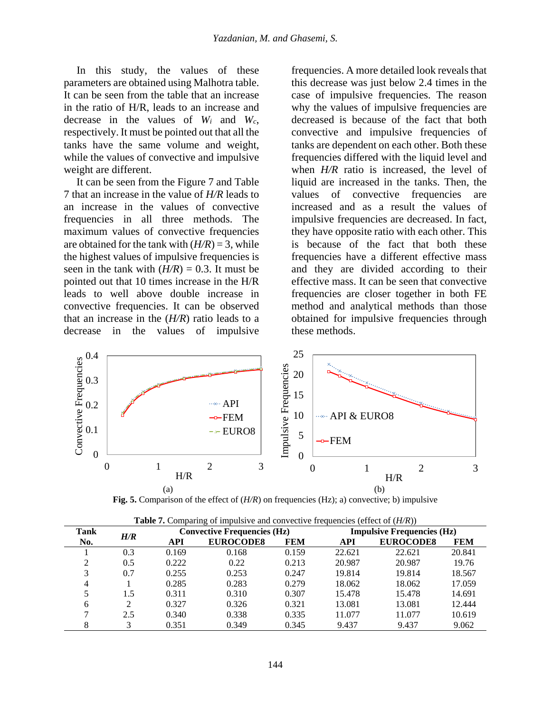In this study, the values of these parameters are obtained using Malhotra table. It can be seen from the table that an increase in the ratio of H/R, leads to an increase and decrease in the values of *Wi* and *Wc*, respectively. It must be pointed out that all the tanks have the same volume and weight, while the values of convective and impulsive weight are different.

It can be seen from the Figure 7 and Table 7 that an increase in the value of *H/R* leads to an increase in the values of convective frequencies in all three methods. The maximum values of convective frequencies are obtained for the tank with  $(H/R) = 3$ , while the highest values of impulsive frequencies is seen in the tank with  $(H/R) = 0.3$ . It must be pointed out that 10 times increase in the H/R leads to well above double increase in convective frequencies. It can be observed that an increase in the (*H/R*) ratio leads to a decrease in the values of impulsive

frequencies. A more detailed look reveals that this decrease was just below 2.4 times in the case of impulsive frequencies. The reason why the values of impulsive frequencies are decreased is because of the fact that both convective and impulsive frequencies of tanks are dependent on each other. Both these frequencies differed with the liquid level and when *H/R* ratio is increased, the level of liquid are increased in the tanks. Then, the values of convective frequencies are increased and as a result the values of impulsive frequencies are decreased. In fact, they have opposite ratio with each other. This is because of the fact that both these frequencies have a different effective mass and they are divided according to their effective mass. It can be seen that convective frequencies are closer together in both FE method and analytical methods than those obtained for impulsive frequencies through these methods.



**Fig. 5.** Comparison of the effect of (*H/R*) on frequencies (Hz); a) convective; b) impulsive

| <b>Tank</b> | H/R |            | <b>Convective Frequencies (Hz)</b> |            |            | <b>Impulsive Frequencies (Hz)</b> |            |  |  |
|-------------|-----|------------|------------------------------------|------------|------------|-----------------------------------|------------|--|--|
| No.         |     | <b>API</b> | <b>EUROCODE8</b>                   | <b>FEM</b> | <b>API</b> | <b>EUROCODE8</b>                  | <b>FEM</b> |  |  |
|             | 0.3 | 0.169      | 0.168                              | 0.159      | 22.621     | 22.621                            | 20.841     |  |  |
| 2           | 0.5 | 0.222      | 0.22                               | 0.213      | 20.987     | 20.987                            | 19.76      |  |  |
| 3           | 0.7 | 0.255      | 0.253                              | 0.247      | 19.814     | 19.814                            | 18.567     |  |  |
| 4           |     | 0.285      | 0.283                              | 0.279      | 18.062     | 18.062                            | 17.059     |  |  |
| 5           | 1.5 | 0.311      | 0.310                              | 0.307      | 15.478     | 15.478                            | 14.691     |  |  |
| 6           | ↑   | 0.327      | 0.326                              | 0.321      | 13.081     | 13.081                            | 12.444     |  |  |
| ⇁           | 2.5 | 0.340      | 0.338                              | 0.335      | 11.077     | 11.077                            | 10.619     |  |  |
| 8           | 3   | 0.351      | 0.349                              | 0.345      | 9.437      | 9.437                             | 9.062      |  |  |

|  |  | <b>Table 7.</b> Comparing of impulsive and convective frequencies (effect of $(H/R)$ ) |
|--|--|----------------------------------------------------------------------------------------|
|  |  |                                                                                        |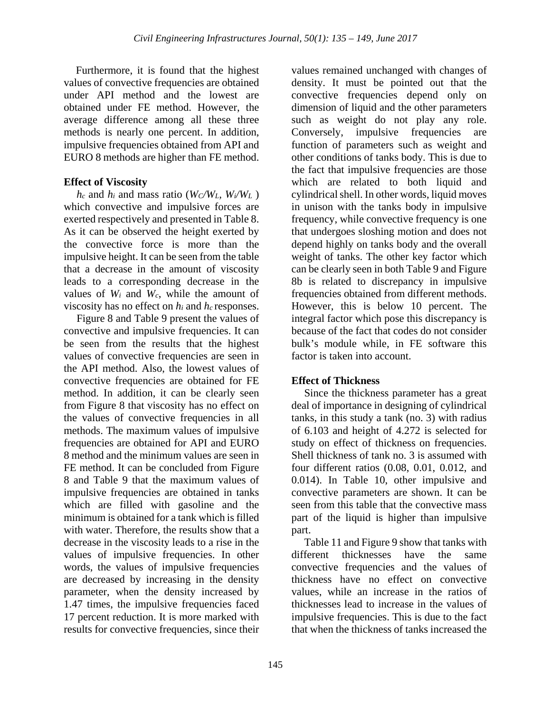Furthermore, it is found that the highest values of convective frequencies are obtained under API method and the lowest are obtained under FE method. However, the average difference among all these three methods is nearly one percent. In addition, impulsive frequencies obtained from API and EURO 8 methods are higher than FE method.

## **Effect of Viscosity**

 $h_c$  and  $h_i$  and mass ratio ( $W_c/W_L$ ,  $W_i/W_L$ ) which convective and impulsive forces are exerted respectively and presented in Table 8. As it can be observed the height exerted by the convective force is more than the impulsive height. It can be seen from the table that a decrease in the amount of viscosity leads to a corresponding decrease in the values of *Wi* and *Wc*, while the amount of viscosity has no effect on  $h_i$  and  $h_c$  responses.

Figure 8 and Table 9 present the values of convective and impulsive frequencies. It can be seen from the results that the highest values of convective frequencies are seen in the API method. Also, the lowest values of convective frequencies are obtained for FE method. In addition, it can be clearly seen from Figure 8 that viscosity has no effect on the values of convective frequencies in all methods. The maximum values of impulsive frequencies are obtained for API and EURO 8 method and the minimum values are seen in FE method. It can be concluded from Figure 8 and Table 9 that the maximum values of impulsive frequencies are obtained in tanks which are filled with gasoline and the minimum is obtained for a tank which is filled with water. Therefore, the results show that a decrease in the viscosity leads to a rise in the values of impulsive frequencies. In other words, the values of impulsive frequencies are decreased by increasing in the density parameter, when the density increased by 1.47 times, the impulsive frequencies faced 17 percent reduction. It is more marked with results for convective frequencies, since their

values remained unchanged with changes of density. It must be pointed out that the convective frequencies depend only on dimension of liquid and the other parameters such as weight do not play any role. Conversely, impulsive frequencies are function of parameters such as weight and other conditions of tanks body. This is due to the fact that impulsive frequencies are those which are related to both liquid and cylindrical shell. In other words, liquid moves in unison with the tanks body in impulsive frequency, while convective frequency is one that undergoes sloshing motion and does not depend highly on tanks body and the overall weight of tanks. The other key factor which can be clearly seen in both Table 9 and Figure 8b is related to discrepancy in impulsive frequencies obtained from different methods. However, this is below 10 percent. The integral factor which pose this discrepancy is because of the fact that codes do not consider bulk's module while, in FE software this factor is taken into account.

# **Effect of Thickness**

Since the thickness parameter has a great deal of importance in designing of cylindrical tanks, in this study a tank (no. 3) with radius of 6.103 and height of 4.272 is selected for study on effect of thickness on frequencies. Shell thickness of tank no. 3 is assumed with four different ratios (0.08, 0.01, 0.012, and 0.014). In Table 10, other impulsive and convective parameters are shown. It can be seen from this table that the convective mass part of the liquid is higher than impulsive part.

Table 11 and Figure 9 show that tanks with different thicknesses have the same convective frequencies and the values of thickness have no effect on convective values, while an increase in the ratios of thicknesses lead to increase in the values of impulsive frequencies. This is due to the fact that when the thickness of tanks increased the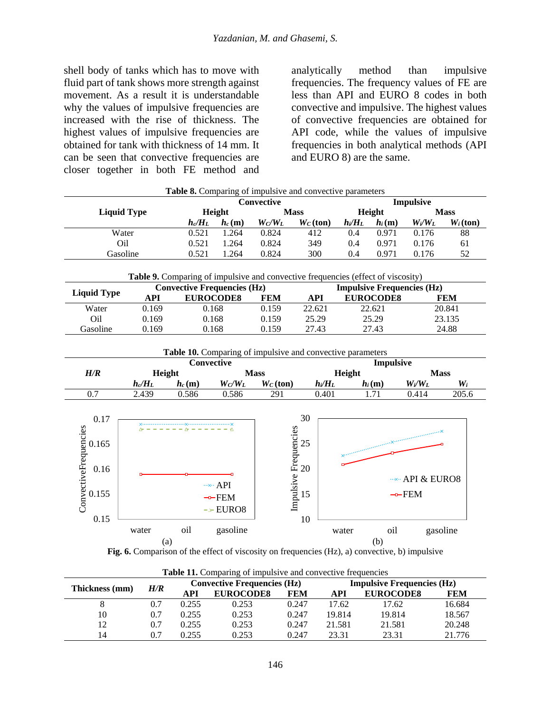shell body of tanks which has to move with fluid part of tank shows more strength against movement. As a result it is understandable why the values of impulsive frequencies are increased with the rise of thickness. The highest values of impulsive frequencies are obtained for tank with thickness of 14 mm. It can be seen that convective frequencies are closer together in both FE method and analytically method than impulsive frequencies. The frequency values of FE are less than API and EURO 8 codes in both convective and impulsive. The highest values of convective frequencies are obtained for API code, while the values of impulsive frequencies in both analytical methods (API and EURO 8) are the same.

| Convective<br>Impulsive |           |          |             |             |           |          |             |             |
|-------------------------|-----------|----------|-------------|-------------|-----------|----------|-------------|-------------|
| <b>Liquid Type</b>      | Height    |          | <b>Mass</b> |             | Height    |          | <b>Mass</b> |             |
|                         | $h_c/H_L$ | $h_c(m)$ | $W_C/W_L$   | $W_C$ (ton) | $h_i/H_L$ | $h_i(m)$ | $W_i/W_L$   | $W_i$ (ton) |
| Water                   | 0.521     | l.264    | 0.824       | 412         | 0.4       | 0.971    | 0.176       | 88          |
| Oil                     | 0.521     | l.264    | 0.824       | 349         | 0.4       | 0.971    | 0.176       | 61          |
| Gasoline                | 0.521     | 1.264    | 0.824       | 300         | 0.4       | 0.971    | 0.176       | 52          |

|             |       | <b>Convective Frequencies (Hz)</b> |            | <b>Impulsive Frequencies (Hz)</b> |                  |            |  |
|-------------|-------|------------------------------------|------------|-----------------------------------|------------------|------------|--|
| Liquid Type | API   | <b>EUROCODES</b>                   | <b>FEM</b> | API                               | <b>EUROCODE8</b> | <b>FEM</b> |  |
| Water       | 0.169 | 0.168                              | 0.159      | 22.621                            | 22.621           | 20.841     |  |
| Oil         | 0.169 | 0.168                              | 0.159      | 25.29                             | 25.29            | 23.135     |  |
| Gasoline    | 0.169 | 0.168                              | 0.159      | 27.43                             | 27.43            | 24.88      |  |

**Table 10.** Comparing of impulsive and convective parameters **Convective Mass Height Impulsive** *H/R* **Height Mass Height Mass**  $h_c/H_L$  *h<sub>c</sub>* (m)  $W_c/W_L$  *W<sub>C</sub>* (ton)  $h_i/H_L$  *h<sub>i</sub>* (m)  $W_i/W_L$  *W<sub>i</sub>* 0.7 2.439 0.586 0.586 291 0.401 1.71 0.414 205.6 0.16 0.165 0.17 ConvectiveFrequencies 20 25  $30<sup>2</sup>$  $\overline{28}$ 

| 0.17  |       |     |                                                | JV.                         |       |                                               |            |
|-------|-------|-----|------------------------------------------------|-----------------------------|-------|-----------------------------------------------|------------|
| 0.165 |       |     | $\Delta$ - - - - - $\Delta$ - - - - - $\Delta$ | Frequencies<br>$25$<br>$20$ |       | .<br>Den mannen mannen Kanaan mannen mannen K |            |
| 0.16  |       |     |                                                |                             |       |                                               | API & EURO |
| 0.155 |       |     | $\cdots$ API<br>$\neg$ FEM                     | Impulsive<br>15             |       | $\neg$ FEM                                    |            |
| 0.15  |       |     | $-FURO8$                                       | 10                          |       |                                               |            |
|       | water | oil | gasoline                                       |                             | water | oil                                           | gasoline   |
|       | (a)   |     |                                                |                             |       | (b)                                           |            |

**Fig. 6.** Comparison of the effect of viscosity on frequencies (Hz), a) convective, b) impulsive

| Thickness (mm) | H/R | <b>Convective Frequencies (Hz)</b> |                  |            | <b>Impulsive Frequencies (Hz)</b> |                  |        |
|----------------|-----|------------------------------------|------------------|------------|-----------------------------------|------------------|--------|
|                |     | API                                | <b>EUROCODE8</b> | <b>FEM</b> | API                               | <b>EUROCODE8</b> | FEM    |
|                | 0.7 | 0.255                              | 0.253            | 0.247      | 17.62                             | 17.62            | 16.684 |
| 10             | 0.7 | 0.255                              | 0.253            | 0.247      | 19.814                            | 19.814           | 18.567 |
| 12             | 0.7 | 0.255                              | 0.253            | 0.247      | 21.581                            | 21.581           | 20.248 |
| 14             | 0.7 | 0.255                              | 0.253            | 0.247      | 23.31                             | 23.31            | 21.776 |

**Table 11.** Comparing of impulsive and convective frequencies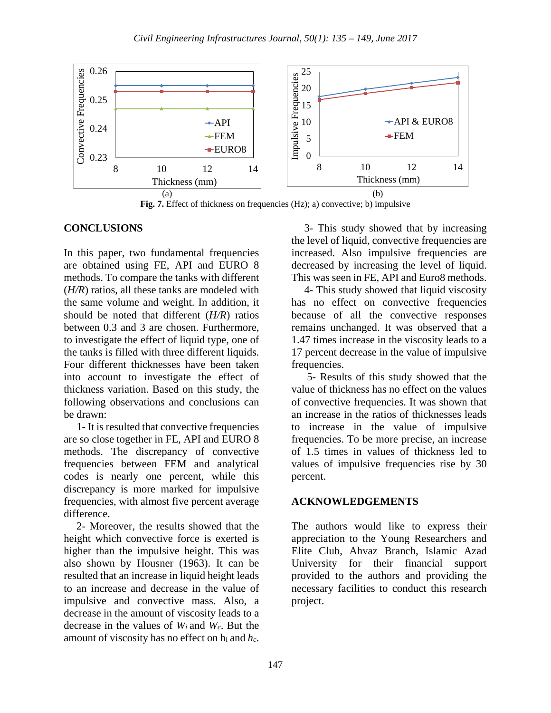

**Fig. 7.** Effect of thickness on frequencies (Hz); a) convective; b) impulsive

## **CONCLUSIONS**

In this paper, two fundamental frequencies are obtained using FE, API and EURO 8 methods. To compare the tanks with different (*H/R*) ratios, all these tanks are modeled with the same volume and weight. In addition, it should be noted that different (*H/R*) ratios between 0.3 and 3 are chosen. Furthermore, to investigate the effect of liquid type, one of the tanks is filled with three different liquids. Four different thicknesses have been taken into account to investigate the effect of thickness variation. Based on this study, the following observations and conclusions can be drawn:

1- It is resulted that convective frequencies are so close together in FE, API and EURO 8 methods. The discrepancy of convective frequencies between FEM and analytical codes is nearly one percent, while this discrepancy is more marked for impulsive frequencies, with almost five percent average difference.

2- Moreover, the results showed that the height which convective force is exerted is higher than the impulsive height. This was also shown by Housner (1963). It can be resulted that an increase in liquid height leads to an increase and decrease in the value of impulsive and convective mass. Also, a decrease in the amount of viscosity leads to a decrease in the values of *Wi* and *Wc*. But the amount of viscosity has no effect on hi and *hc*.

3- This study showed that by increasing the level of liquid, convective frequencies are increased. Also impulsive frequencies are decreased by increasing the level of liquid. This was seen in FE, API and Euro8 methods.

4- This study showed that liquid viscosity has no effect on convective frequencies because of all the convective responses remains unchanged. It was observed that a 1.47 times increase in the viscosity leads to a 17 percent decrease in the value of impulsive frequencies.

5- Results of this study showed that the value of thickness has no effect on the values of convective frequencies. It was shown that an increase in the ratios of thicknesses leads to increase in the value of impulsive frequencies. To be more precise, an increase of 1.5 times in values of thickness led to values of impulsive frequencies rise by 30 percent.

## **ACKNOWLEDGEMENTS**

The authors would like to express their appreciation to the Young Researchers and Elite Club, Ahvaz Branch, Islamic Azad University for their financial support provided to the authors and providing the necessary facilities to conduct this research project.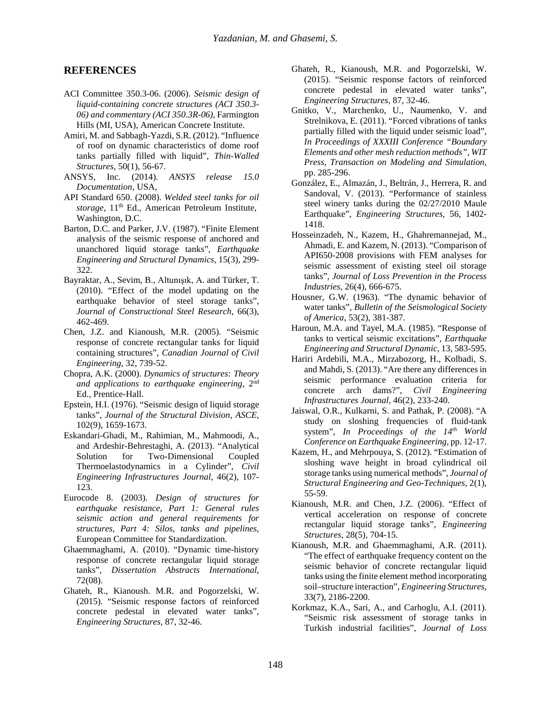#### **REFERENCES**

- ACI Committee 350.3-06. (2006). *Seismic design of liquid-containing concrete structures (ACI 350.3- 06) and commentary (ACI 350.3R-06),* Farmington Hills (MI, USA), American Concrete Institute.
- Amiri, M. and Sabbagh-Yazdi, S.R. (2012). "Influence of roof on dynamic characteristics of dome roof tanks partially filled with liquid", *Thin-Walled Structures*, 50(1), 56-67.
- ANSYS, Inc. (2014). *ANSYS release 15.0 Documentation*, USA,
- API Standard 650. (2008). *Welded steel tanks for oil*  storage, 11<sup>th</sup> Ed., American Petroleum Institute, Washington, D.C.
- Barton, D.C. and Parker, J.V. (1987). "Finite Element analysis of the seismic response of anchored and unanchored liquid storage tanks", *Earthquake Engineering and Structural Dynamics*, 15(3), 299- 322.
- Bayraktar, A., Sevim, B., Altunışık, A. and Türker, T. (2010). "Effect of the model updating on the earthquake behavior of steel storage tanks", *Journal of Constructional Steel Research*, 66(3), 462-469.
- Chen, J.Z. and Kianoush, M.R. (2005). "Seismic response of concrete rectangular tanks for liquid containing structures", *Canadian Journal of Civil Engineering*, 32, 739-52.
- Chopra, A.K. (2000). *Dynamics of structures: Theory and applications to earthquake engineering*, 2nd Ed., Prentice-Hall.
- Epstein, H.I. (1976). "Seismic design of liquid storage tanks", *Journal of the Structural Division, ASCE*, 102(9), 1659-1673.
- Eskandari-Ghadi, M., Rahimian, M., Mahmoodi, A., and Ardeshir-Behrestaghi, A. (2013). "Analytical Solution for Two-Dimensional Coupled Thermoelastodynamics in a Cylinder", *Civil Engineering Infrastructures Journal*, 46(2), 107- 123.
- Eurocode 8. (2003). *Design of structures for earthquake resistance, Part 1: General rules seismic action and general requirements for structures, Part 4: Silos, tanks and pipelines,* European Committee for Standardization.
- Ghaemmaghami, A. (2010). "Dynamic time-history response of concrete rectangular liquid storage tanks", *Dissertation Abstracts International*, 72(08).
- Ghateh, R., Kianoush. M.R. and Pogorzelski, W. (2015). "Seismic response factors of reinforced concrete pedestal in elevated water tanks", *Engineering Structures*, 87, 32-46.
- Ghateh, R., Kianoush, M.R. and Pogorzelski, W. (2015). "Seismic response factors of reinforced concrete pedestal in elevated water tanks", *Engineering Structures*, 87, 32-46.
- Gnitko, V., Marchenko, U., Naumenko, V. and Strelnikova, E. (2011). "Forced vibrations of tanks partially filled with the liquid under seismic load", *In Proceedings of XXXIII Conference "Boundary Elements and other mesh reduction methods", WIT Press, Transaction on Modeling and Simulation,* pp. 285-296.
- González, E., Almazán, J., Beltrán, J., Herrera, R. and Sandoval, V. (2013). "Performance of stainless steel winery tanks during the 02/27/2010 Maule Earthquake", *Engineering Structures,* 56, 1402- 1418.
- Hosseinzadeh, N., Kazem, H., Ghahremannejad, M., Ahmadi, E. and Kazem, N. (2013). "Comparison of API650-2008 provisions with FEM analyses for seismic assessment of existing steel oil storage tanks", *Journal of Loss Prevention in the Process Industries*, 26(4), 666-675.
- Housner, G.W. (1963). "The dynamic behavior of water tanks", *Bulletin of the Seismological Society of America*, 53(2), 381-387.
- Haroun, M.A. and Tayel, M.A. (1985). "Response of tanks to vertical seismic excitations", *Earthquake Engineering and Structural Dynamic*, 13, 583-595.
- Hariri Ardebili, M.A., Mirzabozorg, H., Kolbadi, S. and Mahdi, S. (2013). "Are there any differences in seismic performance evaluation criteria for concrete arch dams?", *Civil Engineering Infrastructures Journal,* 46(2), 233-240.
- Jaiswal, O.R., Kulkarni, S. and Pathak, P. (2008). "A study on sloshing frequencies of fluid-tank system", *In Proceedings of the 14<sup>th</sup> World Conference on Earthquake Engineering,* pp. 12-17.
- Kazem, H., and Mehrpouya, S. (2012). "Estimation of sloshing wave height in broad cylindrical oil storage tanks using numerical methods", *Journal of Structural Engineering and Geo-Techniques,* 2(1), 55-59.
- Kianoush, M.R. and Chen, J.Z. (2006). "Effect of vertical acceleration on response of concrete rectangular liquid storage tanks", *Engineering Structures,* 28(5), 704-15.
- Kianoush, M.R. and Ghaemmaghami, A.R. (2011). "The effect of earthquake frequency content on the seismic behavior of concrete rectangular liquid tanks using the finite element method incorporating soil–structure interaction", *Engineering Structures*, 33(7), 2186-2200.
- Korkmaz, K.A., Sari, A., and Carhoglu, A.I. (2011). "Seismic risk assessment of storage tanks in Turkish industrial facilities", *Journal of Loss*